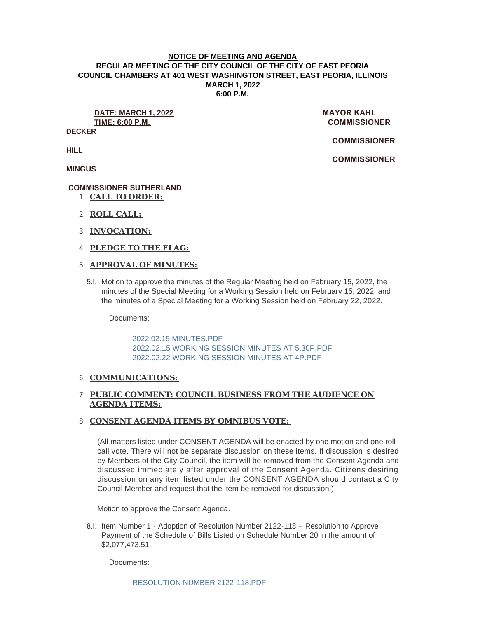#### **NOTICE OF MEETING AND AGENDA REGULAR MEETING OF THE CITY COUNCIL OF THE CITY OF EAST PEORIA COUNCIL CHAMBERS AT 401 WEST WASHINGTON STREET, EAST PEORIA, ILLINOIS MARCH 1, 2022 6:00 P.M.**

**DATE: MARCH 1, 2022 MAYOR KAHL TIME: 6:00 P.M. COMMISSIONER** 

**DECKER**

 **COMMISSIONER** 

 **COMMISSIONER** 

**HILL**

**MINGUS**

## **COMMISSIONER SUTHERLAND**

- **CALL TO ORDER:** 1.
- **ROLL CALL:** 2.
- **INVOCATION:** 3.
- **PLEDGE TO THE FLAG:** 4.

## **APPROVAL OF MINUTES:** 5.

5.I. Motion to approve the minutes of the Regular Meeting held on February 15, 2022, the minutes of the Special Meeting for a Working Session held on February 15, 2022, and the minutes of a Special Meeting for a Working Session held on February 22, 2022.

Documents:

[2022.02.15 MINUTES.PDF](https://www.cityofeastpeoria.com/AgendaCenter/ViewFile/Item/4158?fileID=29450) [2022.02.15 WORKING SESSION MINUTES AT 5.30P.PDF](https://www.cityofeastpeoria.com/AgendaCenter/ViewFile/Item/4158?fileID=29451) [2022.02.22 WORKING SESSION MINUTES AT 4P.PDF](https://www.cityofeastpeoria.com/AgendaCenter/ViewFile/Item/4158?fileID=29452)

## 6. COMMUNICATIONS:

# **PUBLIC COMMENT: COUNCIL BUSINESS FROM THE AUDIENCE ON**  7. **AGENDA ITEMS:**

## **CONSENT AGENDA ITEMS BY OMNIBUS VOTE:**  8.

(All matters listed under CONSENT AGENDA will be enacted by one motion and one roll call vote. There will not be separate discussion on these items. If discussion is desired by Members of the City Council, the item will be removed from the Consent Agenda and discussed immediately after approval of the Consent Agenda. Citizens desiring discussion on any item listed under the CONSENT AGENDA should contact a City Council Member and request that the item be removed for discussion.)

Motion to approve the Consent Agenda.

8.I. Item Number 1 - Adoption of Resolution Number 2122-118 - Resolution to Approve Payment of the Schedule of Bills Listed on Schedule Number 20 in the amount of \$2,077,473.51.

Documents: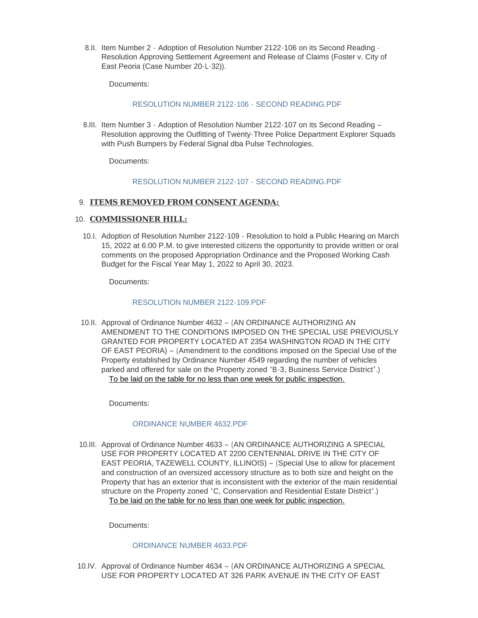8.II. Item Number 2 - Adoption of Resolution Number 2122-106 on its Second Reading -Resolution Approving Settlement Agreement and Release of Claims (Foster v. City of East Peoria (Case Number 20-L-32)).

Documents:

## [RESOLUTION NUMBER 2122-106 -](https://www.cityofeastpeoria.com/AgendaCenter/ViewFile/Item/4159?fileID=29453) SECOND READING.PDF

8.III. Item Number 3 - Adoption of Resolution Number 2122-107 on its Second Reading -Resolution approving the Outfitting of Twenty-Three Police Department Explorer Squads with Push Bumpers by Federal Signal dba Pulse Technologies.

Documents:

#### [RESOLUTION NUMBER 2122-107 -](https://www.cityofeastpeoria.com/AgendaCenter/ViewFile/Item/4160?fileID=29454) SECOND READING.PDF

#### **ITEMS REMOVED FROM CONSENT AGENDA:** 9.

#### 10. **COMMISSIONER HILL:**

10.I. Adoption of Resolution Number 2122-109 - Resolution to hold a Public Hearing on March 15, 2022 at 6:00 P.M. to give interested citizens the opportunity to provide written or oral comments on the proposed Appropriation Ordinance and the Proposed Working Cash Budget for the Fiscal Year May 1, 2022 to April 30, 2023.

Documents:

#### [RESOLUTION NUMBER 2122-109.PDF](https://www.cityofeastpeoria.com/AgendaCenter/ViewFile/Item/4161?fileID=29455)

10.II. Approval of Ordinance Number 4632 - (AN ORDINANCE AUTHORIZING AN AMENDMENT TO THE CONDITIONS IMPOSED ON THE SPECIAL USE PREVIOUSLY GRANTED FOR PROPERTY LOCATED AT 2354 WASHINGTON ROAD IN THE CITY OF EAST PEORIA) – (Amendment to the conditions imposed on the Special Use of the Property established by Ordinance Number 4549 regarding the number of vehicles parked and offered for sale on the Property zoned "B-3, Business Service District".) To be laid on the table for no less than one week for public inspection.

Documents:

## [ORDINANCE NUMBER 4632.PDF](https://www.cityofeastpeoria.com/AgendaCenter/ViewFile/Item/4162?fileID=29456)

10.III. Approval of Ordinance Number 4633 - (AN ORDINANCE AUTHORIZING A SPECIAL USE FOR PROPERTY LOCATED AT 2200 CENTENNIAL DRIVE IN THE CITY OF EAST PEORIA, TAZEWELL COUNTY, ILLINOIS) – (Special Use to allow for placement and construction of an oversized accessory structure as to both size and height on the Property that has an exterior that is inconsistent with the exterior of the main residential structure on the Property zoned "C, Conservation and Residential Estate District".) To be laid on the table for no less than one week for public inspection.

Documents:

## [ORDINANCE NUMBER 4633.PDF](https://www.cityofeastpeoria.com/AgendaCenter/ViewFile/Item/4163?fileID=29457)

10.IV. Approval of Ordinance Number 4634 - (AN ORDINANCE AUTHORIZING A SPECIAL USE FOR PROPERTY LOCATED AT 326 PARK AVENUE IN THE CITY OF EAST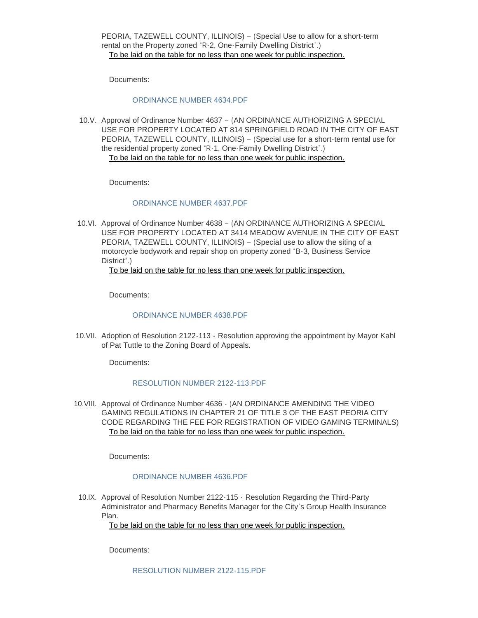PEORIA, TAZEWELL COUNTY, ILLINOIS) – (Special Use to allow for a short-term rental on the Property zoned "R-2, One-Family Dwelling District".) To be laid on the table for no less than one week for public inspection.

Documents:

#### [ORDINANCE NUMBER 4634.PDF](https://www.cityofeastpeoria.com/AgendaCenter/ViewFile/Item/4164?fileID=29458)

10.V. Approval of Ordinance Number 4637 - (AN ORDINANCE AUTHORIZING A SPECIAL USE FOR PROPERTY LOCATED AT 814 SPRINGFIELD ROAD IN THE CITY OF EAST PEORIA, TAZEWELL COUNTY, ILLINOIS) – (Special use for a short-term rental use for the residential property zoned "R-1, One-Family Dwelling District".) To be laid on the table for no less than one week for public inspection.

Documents:

#### [ORDINANCE NUMBER 4637.PDF](https://www.cityofeastpeoria.com/AgendaCenter/ViewFile/Item/4165?fileID=29473)

10.VI. Approval of Ordinance Number 4638 - (AN ORDINANCE AUTHORIZING A SPECIAL USE FOR PROPERTY LOCATED AT 3414 MEADOW AVENUE IN THE CITY OF EAST PEORIA, TAZEWELL COUNTY, ILLINOIS) – (Special use to allow the siting of a motorcycle bodywork and repair shop on property zoned "B-3, Business Service District".)

## To be laid on the table for no less than one week for public inspection.

Documents:

## [ORDINANCE NUMBER 4638.PDF](https://www.cityofeastpeoria.com/AgendaCenter/ViewFile/Item/4166?fileID=29460)

10. VII. Adoption of Resolution 2122-113 - Resolution approving the appointment by Mayor Kahl of Pat Tuttle to the Zoning Board of Appeals.

Documents:

#### [RESOLUTION NUMBER 2122-113.PDF](https://www.cityofeastpeoria.com/AgendaCenter/ViewFile/Item/4167?fileID=29461)

10. VIII. Approval of Ordinance Number 4636  $\cdot$  (AN ORDINANCE AMENDING THE VIDEO GAMING REGULATIONS IN CHAPTER 21 OF TITLE 3 OF THE EAST PEORIA CITY CODE REGARDING THE FEE FOR REGISTRATION OF VIDEO GAMING TERMINALS) To be laid on the table for no less than one week for public inspection.

Documents:

## [ORDINANCE NUMBER 4636.PDF](https://www.cityofeastpeoria.com/AgendaCenter/ViewFile/Item/4168?fileID=29462)

10.IX. Approval of Resolution Number 2122-115 - Resolution Regarding the Third-Party Administrator and Pharmacy Benefits Manager for the City's Group Health Insurance Plan.

To be laid on the table for no less than one week for public inspection.

Documents: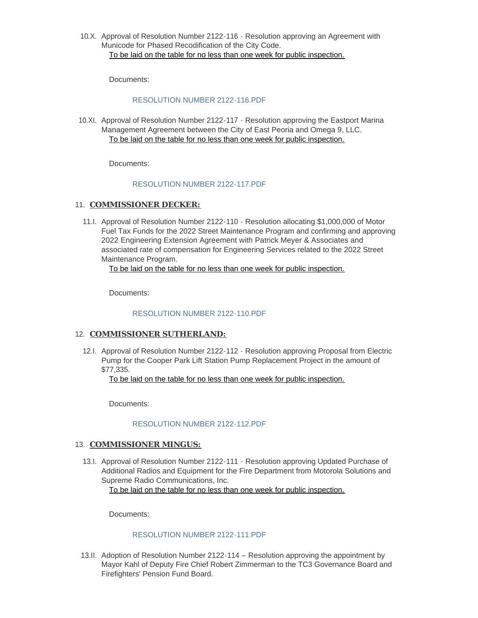10.X. Approval of Resolution Number 2122-116 - Resolution approving an Agreement with Municode for Phased Recodification of the City Code. To be laid on the table for no less than one week for public inspection.

Documents:

#### [RESOLUTION NUMBER 2122-116.PDF](https://www.cityofeastpeoria.com/AgendaCenter/ViewFile/Item/4174?fileID=29469)

10.XI. Approval of Resolution Number 2122-117 - Resolution approving the Eastport Marina Management Agreement between the City of East Peoria and Omega 9, LLC. To be laid on the table for no less than one week for public inspection.

Documents:

#### [RESOLUTION NUMBER 2122-117.PDF](https://www.cityofeastpeoria.com/AgendaCenter/ViewFile/Item/4173?fileID=29468)

## 11. **COMMISSIONER DECKER:**

11.I. Approval of Resolution Number 2122-110 - Resolution allocating \$1,000,000 of Motor Fuel Tax Funds for the 2022 Street Maintenance Program and confirming and approving 2022 Engineering Extension Agreement with Patrick Meyer & Associates and associated rate of compensation for Engineering Services related to the 2022 Street Maintenance Program.

To be laid on the table for no less than one week for public inspection.

Documents:

#### [RESOLUTION NUMBER 2122-110.PDF](https://www.cityofeastpeoria.com/AgendaCenter/ViewFile/Item/4170?fileID=29464)

#### 12. **COMMISSIONER SUTHERLAND:**

12.I. Approval of Resolution Number 2122-112 - Resolution approving Proposal from Electric Pump for the Cooper Park Lift Station Pump Replacement Project in the amount of \$77,335.

To be laid on the table for no less than one week for public inspection.

Documents:

## [RESOLUTION NUMBER 2122-112.PDF](https://www.cityofeastpeoria.com/AgendaCenter/ViewFile/Item/4176?fileID=29472)

## 13. **COMMISSIONER MINGUS:**

13.I. Approval of Resolution Number 2122-111 - Resolution approving Updated Purchase of Additional Radios and Equipment for the Fire Department from Motorola Solutions and Supreme Radio Communications, Inc. To be laid on the table for no less than one week for public inspection.

Documents:

#### [RESOLUTION NUMBER 2122-111.PDF](https://www.cityofeastpeoria.com/AgendaCenter/ViewFile/Item/4171?fileID=29465)

13.II. Adoption of Resolution Number 2122-114 - Resolution approving the appointment by Mayor Kahl of Deputy Fire Chief Robert Zimmerman to the TC3 Governance Board and Firefighters' Pension Fund Board.